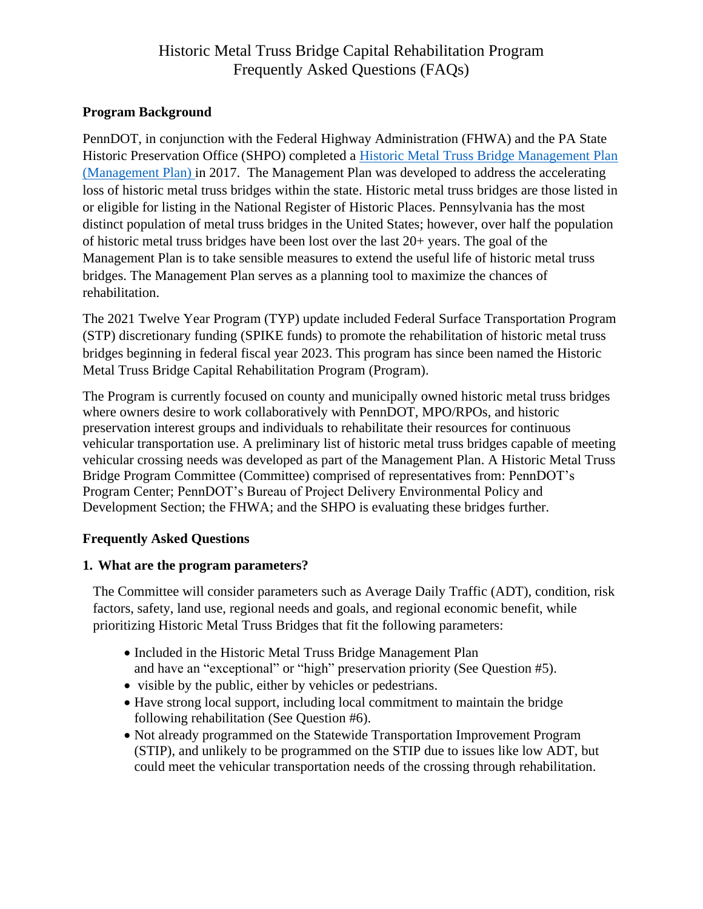# Historic Metal Truss Bridge Capital Rehabilitation Program Frequently Asked Questions (FAQs)

## **Program Background**

PennDOT, in conjunction with the Federal Highway Administration (FHWA) and the PA State Historic Preservation Office (SHPO) completed a [Historic Metal Truss Bridge Management Plan](https://www.penndot.gov/ProjectAndPrograms/Cultural%20Resources/Documents/Historic%20Truss%20Bridge%20Management%20Plan.pdf)  [\(Management Plan\)](https://www.penndot.gov/ProjectAndPrograms/Cultural%20Resources/Documents/Historic%20Truss%20Bridge%20Management%20Plan.pdf) in 2017. The Management Plan was developed to address the accelerating loss of historic metal truss bridges within the state. Historic metal truss bridges are those listed in or eligible for listing in the National Register of Historic Places. Pennsylvania has the most distinct population of metal truss bridges in the United States; however, over half the population of historic metal truss bridges have been lost over the last 20+ years. The goal of the Management Plan is to take sensible measures to extend the useful life of historic metal truss bridges. The Management Plan serves as a planning tool to maximize the chances of rehabilitation.

The 2021 Twelve Year Program (TYP) update included Federal Surface Transportation Program (STP) discretionary funding (SPIKE funds) to promote the rehabilitation of historic metal truss bridges beginning in federal fiscal year 2023. This program has since been named the Historic Metal Truss Bridge Capital Rehabilitation Program (Program).

The Program is currently focused on county and municipally owned historic metal truss bridges where owners desire to work collaboratively with PennDOT, MPO/RPOs, and historic preservation interest groups and individuals to rehabilitate their resources for continuous vehicular transportation use. A preliminary list of historic metal truss bridges capable of meeting vehicular crossing needs was developed as part of the Management Plan. A Historic Metal Truss Bridge Program Committee (Committee) comprised of representatives from: PennDOT's Program Center; PennDOT's Bureau of Project Delivery Environmental Policy and Development Section; the FHWA; and the SHPO is evaluating these bridges further.

## **Frequently Asked Questions**

## **1. What are the program parameters?**

The Committee will consider parameters such as Average Daily Traffic (ADT), condition, risk factors, safety, land use, regional needs and goals, and regional economic benefit, while prioritizing Historic Metal Truss Bridges that fit the following parameters:

- Included in the Historic Metal Truss Bridge Management Plan and have an "exceptional" or "high" preservation priority (See Question #5).
- visible by the public, either by vehicles or pedestrians.
- Have strong local support, including local commitment to maintain the bridge following rehabilitation (See Question #6).
- Not already programmed on the Statewide Transportation Improvement Program (STIP), and unlikely to be programmed on the STIP due to issues like low ADT, but could meet the vehicular transportation needs of the crossing through rehabilitation.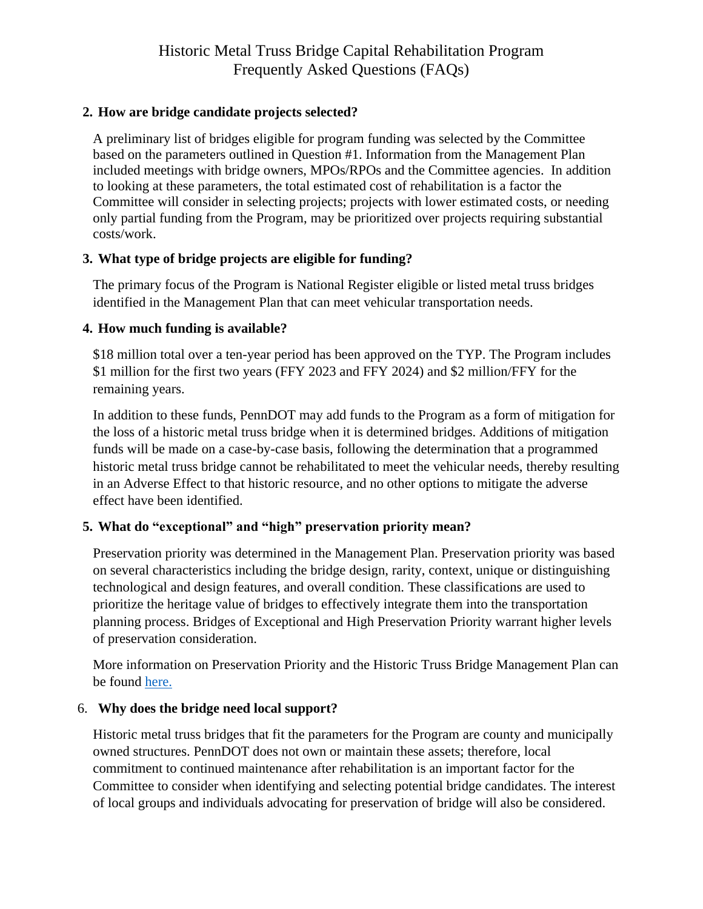# Historic Metal Truss Bridge Capital Rehabilitation Program Frequently Asked Questions (FAQs)

#### **2. How are bridge candidate projects selected?**

A preliminary list of bridges eligible for program funding was selected by the Committee based on the parameters outlined in Question #1. Information from the Management Plan included meetings with bridge owners, MPOs/RPOs and the Committee agencies. In addition to looking at these parameters, the total estimated cost of rehabilitation is a factor the Committee will consider in selecting projects; projects with lower estimated costs, or needing only partial funding from the Program, may be prioritized over projects requiring substantial costs/work.

#### **3. What type of bridge projects are eligible for funding?**

The primary focus of the Program is National Register eligible or listed metal truss bridges identified in the Management Plan that can meet vehicular transportation needs.

#### **4. How much funding is available?**

\$18 million total over a ten-year period has been approved on the TYP. The Program includes \$1 million for the first two years (FFY 2023 and FFY 2024) and \$2 million/FFY for the remaining years.

In addition to these funds, PennDOT may add funds to the Program as a form of mitigation for the loss of a historic metal truss bridge when it is determined bridges. Additions of mitigation funds will be made on a case-by-case basis, following the determination that a programmed historic metal truss bridge cannot be rehabilitated to meet the vehicular needs, thereby resulting in an Adverse Effect to that historic resource, and no other options to mitigate the adverse effect have been identified.

## **5. What do "exceptional" and "high" preservation priority mean?**

Preservation priority was determined in the Management Plan. Preservation priority was based on several characteristics including the bridge design, rarity, context, unique or distinguishing technological and design features, and overall condition. These classifications are used to prioritize the heritage value of bridges to effectively integrate them into the transportation planning process. Bridges of Exceptional and High Preservation Priority warrant higher levels of preservation consideration.

More information on Preservation Priority and the Historic Truss Bridge Management Plan can be found [here.](https://www.penndot.gov/ProjectAndPrograms/Cultural%20Resources/Documents/Historic%20Truss%20Bridge%20Management%20Plan.pdf)

#### 6. **Why does the bridge need local support?**

Historic metal truss bridges that fit the parameters for the Program are county and municipally owned structures. PennDOT does not own or maintain these assets; therefore, local commitment to continued maintenance after rehabilitation is an important factor for the Committee to consider when identifying and selecting potential bridge candidates. The interest of local groups and individuals advocating for preservation of bridge will also be considered.